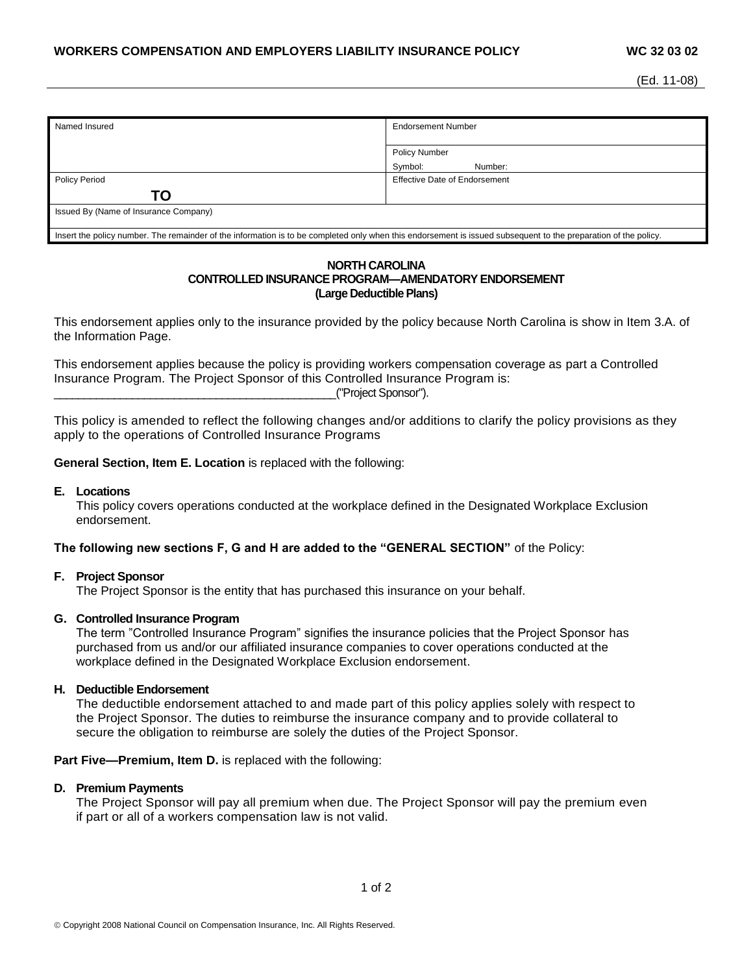| Named Insured                                                                                                                                                   | <b>Endorsement Number</b>     |
|-----------------------------------------------------------------------------------------------------------------------------------------------------------------|-------------------------------|
|                                                                                                                                                                 |                               |
|                                                                                                                                                                 | <b>Policy Number</b>          |
|                                                                                                                                                                 | Symbol:<br>Number:            |
| <b>Policy Period</b>                                                                                                                                            | Effective Date of Endorsement |
| ΤO                                                                                                                                                              |                               |
| Issued By (Name of Insurance Company)                                                                                                                           |                               |
| Insert the policy number. The remainder of the information is to be completed only when this endorsement is issued subsequent to the preparation of the policy. |                               |

### **NORTH CAROLINA CONTROLLED INSURANCE PROGRAM—AMENDATORY ENDORSEMENT (Large Deductible Plans)**

This endorsement applies only to the insurance provided by the policy because North Carolina is show in Item 3.A. of the Information Page.

This endorsement applies because the policy is providing workers compensation coverage as part a Controlled Insurance Program. The Project Sponsor of this Controlled Insurance Program is: \_\_\_\_\_\_\_\_\_\_\_\_\_\_\_\_\_\_\_\_\_\_\_\_\_\_\_\_\_\_\_\_\_\_\_\_\_\_\_\_\_\_\_\_\_\_\_("Project Sponsor").

This policy is amended to reflect the following changes and/or additions to clarify the policy provisions as they apply to the operations of Controlled Insurance Programs

**General Section, Item E. Location** is replaced with the following:

#### **E. Locations**

This policy covers operations conducted at the workplace defined in the Designated Workplace Exclusion endorsement.

## **The following new sections F, G and H are added to the "GENERAL SECTION"** of the Policy:

## **F. Project Sponsor**

The Project Sponsor is the entity that has purchased this insurance on your behalf.

## **G. Controlled Insurance Program**

The term "Controlled Insurance Program" signifies the insurance policies that the Project Sponsor has purchased from us and/or our affiliated insurance companies to cover operations conducted at the workplace defined in the Designated Workplace Exclusion endorsement.

# **H. Deductible Endorsement**

The deductible endorsement attached to and made part of this policy applies solely with respect to the Project Sponsor. The duties to reimburse the insurance company and to provide collateral to secure the obligation to reimburse are solely the duties of the Project Sponsor.

**Part Five—Premium, Item D.** is replaced with the following:

# **D. Premium Payments**

The Project Sponsor will pay all premium when due. The Project Sponsor will pay the premium even if part or all of a workers compensation law is not valid.